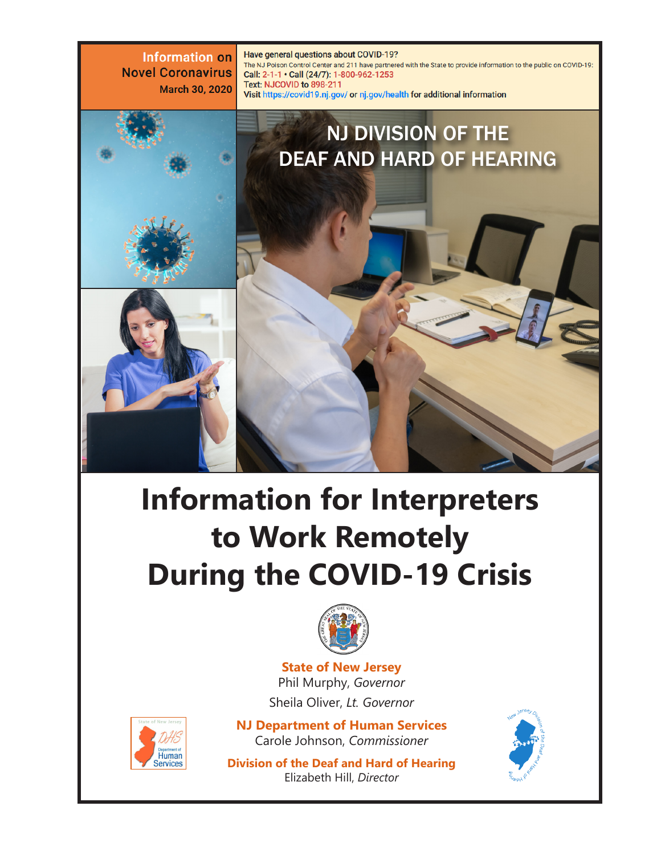**Information on** Have general questions about COVID-19? The NJ Poison Control Center and 211 have partnered with the State to provide information to the public on COVID-19: **Novel Coronavirus** Call: 2-1-1 · Call (24/7): 1-800-962-1253 Text: NJCOVID to 898-211 March 30, 2020 Visit https://covid19.nj.gov/ or nj.gov/health for additional information NJ DIVISION OF THE DEAF AND HARD OF HEARING

# **Information for Interpreters to Work Remotely During the COVID-19 Crisis**



**State of New Jersey** Phil Murphy, *Governor* Sheila Oliver, *Lt. Governor*



**NJ Department of Human Services** Carole Johnson, *Commissioner*

**Division of the Deaf and Hard of Hearing** Elizabeth Hill, *Director*

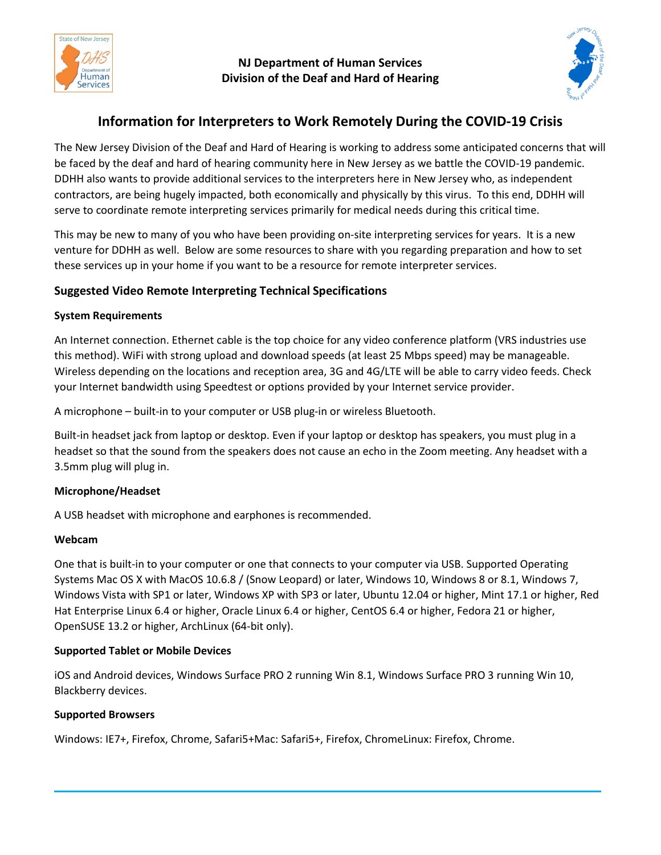

#### **NJ Department of Human Services Division of the Deaf and Hard of Hearing**



# **Information for Interpreters to Work Remotely During the COVID-19 Crisis**

The New Jersey Division of the Deaf and Hard of Hearing is working to address some anticipated concerns that will be faced by the deaf and hard of hearing community here in New Jersey as we battle the COVID-19 pandemic. DDHH also wants to provide additional services to the interpreters here in New Jersey who, as independent contractors, are being hugely impacted, both economically and physically by this virus. To this end, DDHH will serve to coordinate remote interpreting services primarily for medical needs during this critical time.

This may be new to many of you who have been providing on-site interpreting services for years. It is a new venture for DDHH as well. Below are some resources to share with you regarding preparation and how to set these services up in your home if you want to be a resource for remote interpreter services.

## **Suggested Video Remote Interpreting Technical Specifications**

#### **System Requirements**

An Internet connection. Ethernet cable is the top choice for any video conference platform (VRS industries use this method). WiFi with strong upload and download speeds (at least 25 Mbps speed) may be manageable. Wireless depending on the locations and reception area, 3G and 4G/LTE will be able to carry video feeds. Check your Internet bandwidth using Speedtest or options provided by your Internet service provider.

A microphone – built-in to your computer or USB plug-in or wireless Bluetooth.

Built-in headset jack from laptop or desktop. Even if your laptop or desktop has speakers, you must plug in a headset so that the sound from the speakers does not cause an echo in the Zoom meeting. Any headset with a 3.5mm plug will plug in.

#### **Microphone/Headset**

A USB headset with microphone and earphones is recommended.

#### **Webcam**

One that is built-in to your computer or one that connects to your computer via USB. Supported Operating Systems Mac OS X with MacOS 10.6.8 / (Snow Leopard) or later, Windows 10, Windows 8 or 8.1, Windows 7, Windows Vista with SP1 or later, Windows XP with SP3 or later, Ubuntu 12.04 or higher, Mint 17.1 or higher, Red Hat Enterprise Linux 6.4 or higher, Oracle Linux 6.4 or higher, CentOS 6.4 or higher, Fedora 21 or higher, OpenSUSE 13.2 or higher, ArchLinux (64-bit only).

#### **Supported Tablet or Mobile Devices**

iOS and Android devices, Windows Surface PRO 2 running Win 8.1, Windows Surface PRO 3 running Win 10, Blackberry devices.

#### **Supported Browsers**

Windows: IE7+, Firefox, Chrome, Safari5+Mac: Safari5+, Firefox, ChromeLinux: Firefox, Chrome.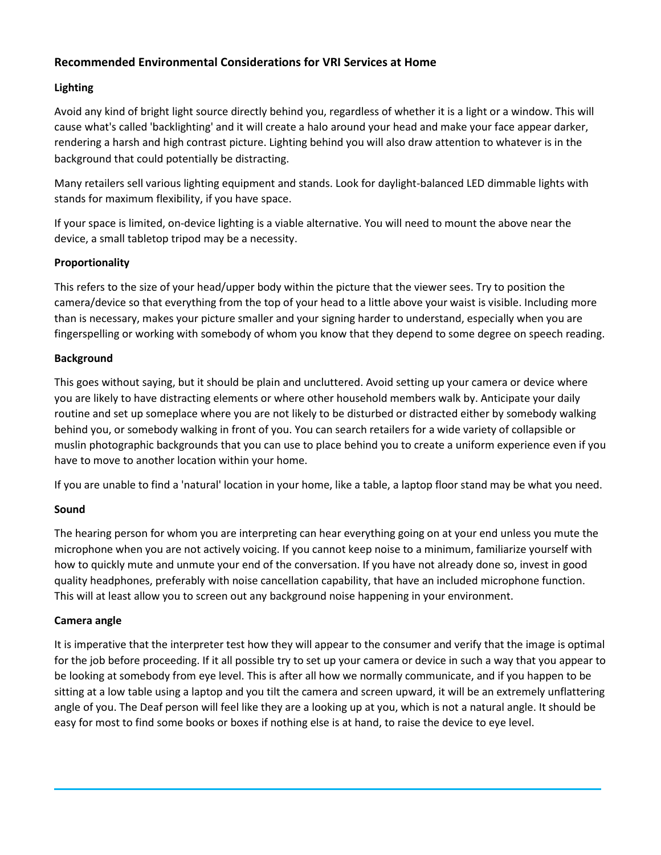## **Recommended Environmental Considerations for VRI Services at Home**

#### **Lighting**

Avoid any kind of bright light source directly behind you, regardless of whether it is a light or a window. This will cause what's called 'backlighting' and it will create a halo around your head and make your face appear darker, rendering a harsh and high contrast picture. Lighting behind you will also draw attention to whatever is in the background that could potentially be distracting.

Many retailers sell various lighting equipment and stands. Look for daylight-balanced LED dimmable lights with stands for maximum flexibility, if you have space.

If your space is limited, on-device lighting is a viable alternative. You will need to mount the above near the device, a small tabletop tripod may be a necessity.

#### **Proportionality**

This refers to the size of your head/upper body within the picture that the viewer sees. Try to position the camera/device so that everything from the top of your head to a little above your waist is visible. Including more than is necessary, makes your picture smaller and your signing harder to understand, especially when you are fingerspelling or working with somebody of whom you know that they depend to some degree on speech reading.

#### **Background**

This goes without saying, but it should be plain and uncluttered. Avoid setting up your camera or device where you are likely to have distracting elements or where other household members walk by. Anticipate your daily routine and set up someplace where you are not likely to be disturbed or distracted either by somebody walking behind you, or somebody walking in front of you. You can search retailers for a wide variety of collapsible or muslin photographic backgrounds that you can use to place behind you to create a uniform experience even if you have to move to another location within your home.

If you are unable to find a 'natural' location in your home, like a table, a laptop floor stand may be what you need.

#### **Sound**

The hearing person for whom you are interpreting can hear everything going on at your end unless you mute the microphone when you are not actively voicing. If you cannot keep noise to a minimum, familiarize yourself with how to quickly mute and unmute your end of the conversation. If you have not already done so, invest in good quality headphones, preferably with noise cancellation capability, that have an included microphone function. This will at least allow you to screen out any background noise happening in your environment.

#### **Camera angle**

It is imperative that the interpreter test how they will appear to the consumer and verify that the image is optimal for the job before proceeding. If it all possible try to set up your camera or device in such a way that you appear to be looking at somebody from eye level. This is after all how we normally communicate, and if you happen to be sitting at a low table using a laptop and you tilt the camera and screen upward, it will be an extremely unflattering angle of you. The Deaf person will feel like they are a looking up at you, which is not a natural angle. It should be easy for most to find some books or boxes if nothing else is at hand, to raise the device to eye level.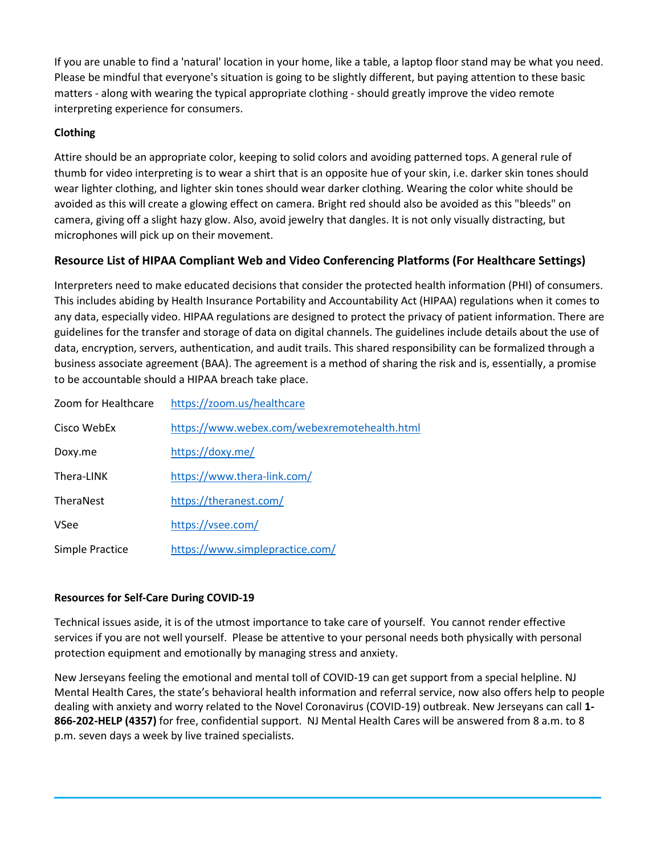If you are unable to find a 'natural' location in your home, like a table, a laptop floor stand may be what you need. Please be mindful that everyone's situation is going to be slightly different, but paying attention to these basic matters - along with wearing the typical appropriate clothing - should greatly improve the video remote interpreting experience for consumers.

#### **Clothing**

Attire should be an appropriate color, keeping to solid colors and avoiding patterned tops. A general rule of thumb for video interpreting is to wear a shirt that is an opposite hue of your skin, i.e. darker skin tones should wear lighter clothing, and lighter skin tones should wear darker clothing. Wearing the color white should be avoided as this will create a glowing effect on camera. Bright red should also be avoided as this "bleeds" on camera, giving off a slight hazy glow. Also, avoid jewelry that dangles. It is not only visually distracting, but microphones will pick up on their movement.

# **Resource List of HIPAA Compliant Web and Video Conferencing Platforms (For Healthcare Settings)**

Interpreters need to make educated decisions that consider the protected health information (PHI) of consumers. This includes abiding by Health Insurance Portability and Accountability Act (HIPAA) regulations when it comes to any data, especially video. HIPAA regulations are designed to protect the privacy of patient information. There are guidelines for the transfer and storage of data on digital channels. The guidelines include details about the use of data, encryption, servers, authentication, and audit trails. This shared responsibility can be formalized through a business associate agreement (BAA). The agreement is a method of sharing the risk and is, essentially, a promise to be accountable should a HIPAA breach take place.

| Zoom for Healthcare | https://zoom.us/healthcare                   |
|---------------------|----------------------------------------------|
| Cisco WebEx         | https://www.webex.com/webexremotehealth.html |
| Doxy.me             | https://doxy.me/                             |
| Thera-LINK          | https://www.thera-link.com/                  |
| TheraNest           | https://theranest.com/                       |
| VSee                | https://vsee.com/                            |
| Simple Practice     | https://www.simplepractice.com/              |

#### **Resources for Self-Care During COVID-19**

Technical issues aside, it is of the utmost importance to take care of yourself. You cannot render effective services if you are not well yourself. Please be attentive to your personal needs both physically with personal protection equipment and emotionally by managing stress and anxiety.

New Jerseyans feeling the emotional and mental toll of COVID-19 can get support from a special helpline. NJ Mental Health Cares, the state's behavioral health information and referral service, now also offers help to people dealing with anxiety and worry related to the Novel Coronavirus (COVID-19) outbreak. New Jerseyans can call **1- 866-202-HELP (4357)** for free, confidential support. NJ Mental Health Cares will be answered from 8 a.m. to 8 p.m. seven days a week by live trained specialists.